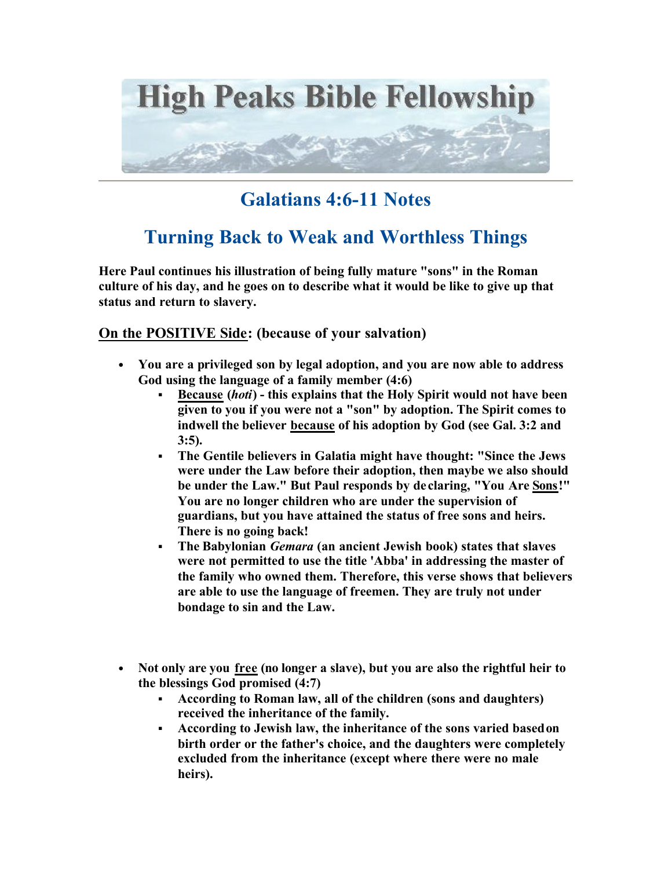

# **Galatians 4:6-11 Notes**

# **Turning Back to Weak and Worthless Things**

**Here Paul continues his illustration of being fully mature "sons" in the Roman culture of his day, and he goes on to describe what it would be like to give up that status and return to slavery.** 

#### **On the POSITIVE Side: (because of your salvation)**

- **You are a privileged son by legal adoption, and you are now able to address God using the language of a family member (4:6)** 
	- ß **Because (***hoti***) this explains that the Holy Spirit would not have been given to you if you were not a "son" by adoption. The Spirit comes to indwell the believer because of his adoption by God (see Gal. 3:2 and 3:5).**
	- ß **The Gentile believers in Galatia might have thought: "Since the Jews were under the Law before their adoption, then maybe we also should be under the Law." But Paul responds by de claring, "You Are Sons!" You are no longer children who are under the supervision of guardians, but you have attained the status of free sons and heirs. There is no going back!**
	- ß **The Babylonian** *Gemara* **(an ancient Jewish book) states that slaves were not permitted to use the title 'Abba' in addressing the master of the family who owned them. Therefore, this verse shows that believers are able to use the language of freemen. They are truly not under bondage to sin and the Law.**
- **Not only are you free (no longer a slave), but you are also the rightful heir to the blessings God promised (4:7)** 
	- ß **According to Roman law, all of the children (sons and daughters) received the inheritance of the family.**
	- ß **According to Jewish law, the inheritance of the sons varied based on birth order or the father's choice, and the daughters were completely excluded from the inheritance (except where there were no male heirs).**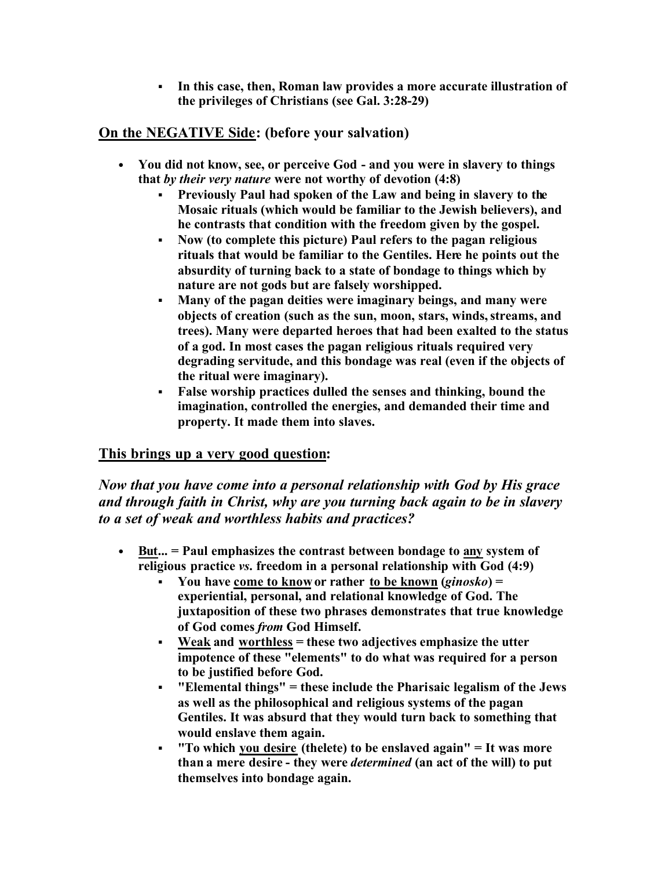ß **In this case, then, Roman law provides a more accurate illustration of the privileges of Christians (see Gal. 3:28-29)** 

### **On the NEGATIVE Side: (before your salvation)**

- **You did not know, see, or perceive God and you were in slavery to things that** *by their very nature* **were not worthy of devotion (4:8)** 
	- **Previously Paul had spoken of the Law and being in slavery to the Mosaic rituals (which would be familiar to the Jewish believers), and he contrasts that condition with the freedom given by the gospel.**
	- ß **Now (to complete this picture) Paul refers to the pagan religious rituals that would be familiar to the Gentiles. Here he points out the absurdity of turning back to a state of bondage to things which by nature are not gods but are falsely worshipped.**
	- ß **Many of the pagan deities were imaginary beings, and many were objects of creation (such as the sun, moon, stars, winds, streams, and trees). Many were departed heroes that had been exalted to the status of a god. In most cases the pagan religious rituals required very degrading servitude, and this bondage was real (even if the objects of the ritual were imaginary).**
	- ß **False worship practices dulled the senses and thinking, bound the imagination, controlled the energies, and demanded their time and property. It made them into slaves.**

### **This brings up a very good question:**

*Now that you have come into a personal relationship with God by His grace and through faith in Christ, why are you turning back again to be in slavery to a set of weak and worthless habits and practices?*

- **But... = Paul emphasizes the contrast between bondage to any system of religious practice** *vs***. freedom in a personal relationship with God (4:9)** 
	- ß **You have come to know or rather to be known (***ginosko***) = experiential, personal, and relational knowledge of God. The juxtaposition of these two phrases demonstrates that true knowledge of God comes** *from* **God Himself.**
	- ß **Weak and worthless = these two adjectives emphasize the utter impotence of these "elements" to do what was required for a person to be justified before God.**
	- ß **"Elemental things" = these include the Pharisaic legalism of the Jews as well as the philosophical and religious systems of the pagan Gentiles. It was absurd that they would turn back to something that would enslave them again.**
	- ß **"To which you desire (thelete) to be enslaved again" = It was more than a mere desire - they were** *determined* **(an act of the will) to put themselves into bondage again.**